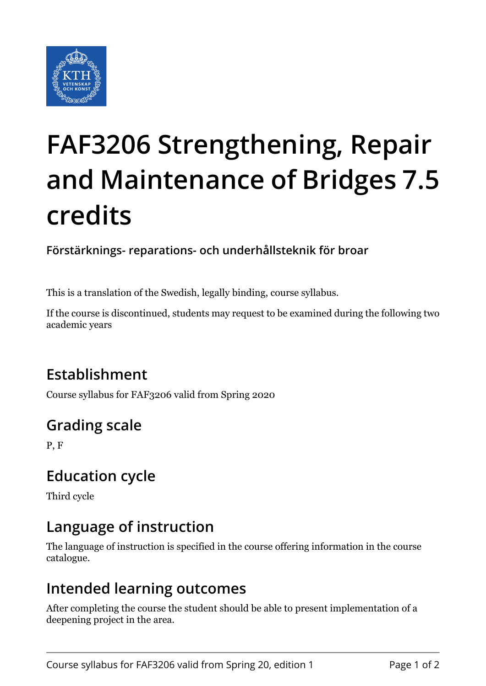

# **FAF3206 Strengthening, Repair and Maintenance of Bridges 7.5 credits**

**Förstärknings- reparations- och underhållsteknik för broar**

This is a translation of the Swedish, legally binding, course syllabus.

If the course is discontinued, students may request to be examined during the following two academic years

## **Establishment**

Course syllabus for FAF3206 valid from Spring 2020

## **Grading scale**

P, F

## **Education cycle**

Third cycle

## **Language of instruction**

The language of instruction is specified in the course offering information in the course catalogue.

#### **Intended learning outcomes**

After completing the course the student should be able to present implementation of a deepening project in the area.